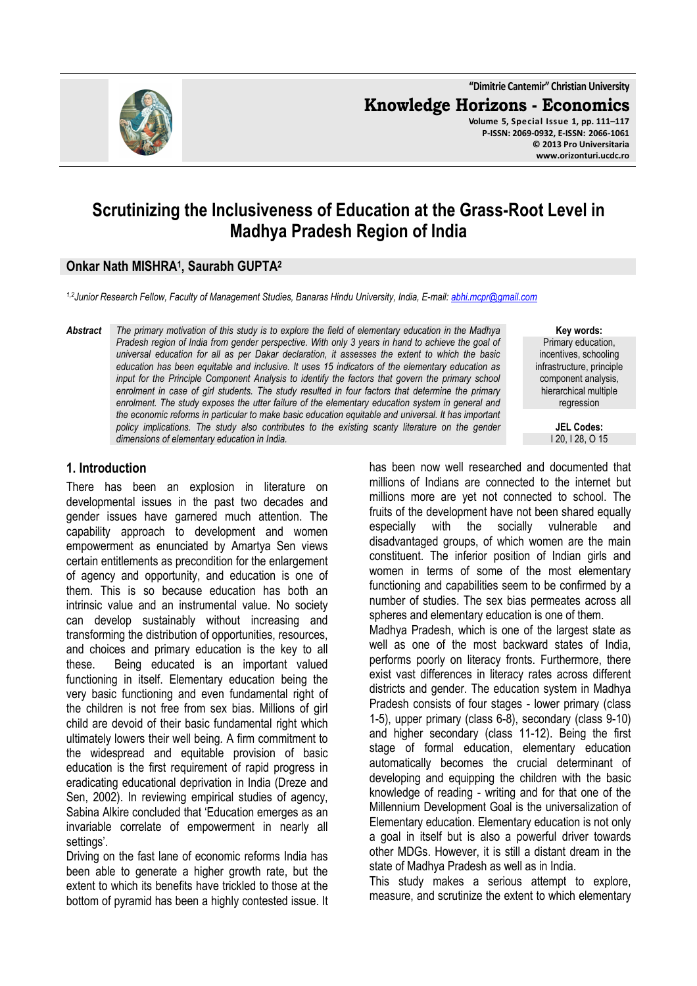

# **Scrutinizing the Inclusiveness of Education at the Grass-Root Level in Madhya Pradesh Region of India**

#### **Onkar Nath MISHRA<sup>1</sup> , Saurabh GUPTA<sup>2</sup>**

*1,2Junior Research Fellow, Faculty of Management Studies, Banaras Hindu University, India, E-mail: abhi.mcpr@gmail.com*

*Abstract The primary motivation of this study is to explore the field of elementary education in the Madhya Pradesh region of India from gender perspective. With only 3 years in hand to achieve the goal of universal education for all as per Dakar declaration, it assesses the extent to which the basic education has been equitable and inclusive. It uses 15 indicators of the elementary education as input for the Principle Component Analysis to identify the factors that govern the primary school enrolment in case of girl students. The study resulted in four factors that determine the primary enrolment. The study exposes the utter failure of the elementary education system in general and the economic reforms in particular to make basic education equitable and universal. It has important*  policy implications. The study also contributes to the existing scanty literature on the gender *dimensions of elementary education in India.* 

#### **1. Introduction**

There has been an explosion in literature on developmental issues in the past two decades and gender issues have garnered much attention. The capability approach to development and women empowerment as enunciated by Amartya Sen views certain entitlements as precondition for the enlargement of agency and opportunity, and education is one of them. This is so because education has both an intrinsic value and an instrumental value. No society can develop sustainably without increasing and transforming the distribution of opportunities, resources, and choices and primary education is the key to all these. Being educated is an important valued functioning in itself. Elementary education being the very basic functioning and even fundamental right of the children is not free from sex bias. Millions of girl child are devoid of their basic fundamental right which ultimately lowers their well being*.* A firm commitment to the widespread and equitable provision of basic education is the first requirement of rapid progress in eradicating educational deprivation in India (Dreze and Sen, 2002). In reviewing empirical studies of agency, Sabina Alkire concluded that 'Education emerges as an invariable correlate of empowerment in nearly all settings'*.* 

Driving on the fast lane of economic reforms India has been able to generate a higher growth rate, but the extent to which its benefits have trickled to those at the bottom of pyramid has been a highly contested issue. It

**Key words:** Primary education, incentives, schooling infrastructure, principle component analysis, hierarchical multiple regression

> **JEL Codes:** I 20, I 28, O 15

has been now well researched and documented that millions of Indians are connected to the internet but millions more are yet not connected to school. The fruits of the development have not been shared equally especially with the socially vulnerable and disadvantaged groups, of which women are the main constituent. The inferior position of Indian girls and women in terms of some of the most elementary functioning and capabilities seem to be confirmed by a number of studies. The sex bias permeates across all spheres and elementary education is one of them. Madhya Pradesh, which is one of the largest state as well as one of the most backward states of India, performs poorly on literacy fronts. Furthermore, there exist vast differences in literacy rates across different districts and gender. The education system in Madhya Pradesh consists of four stages - lower primary (class 1-5), upper primary (class 6-8), secondary (class 9-10) and higher secondary (class 11-12). Being the first stage of formal education, elementary education automatically becomes the crucial determinant of developing and equipping the children with the basic knowledge of reading - writing and for that one of the Millennium Development Goal is the universalization of Elementary education. Elementary education is not only a goal in itself but is also a powerful driver towards other MDGs. However, it is still a distant dream in the state of Madhya Pradesh as well as in India.

This study makes a serious attempt to explore, measure, and scrutinize the extent to which elementary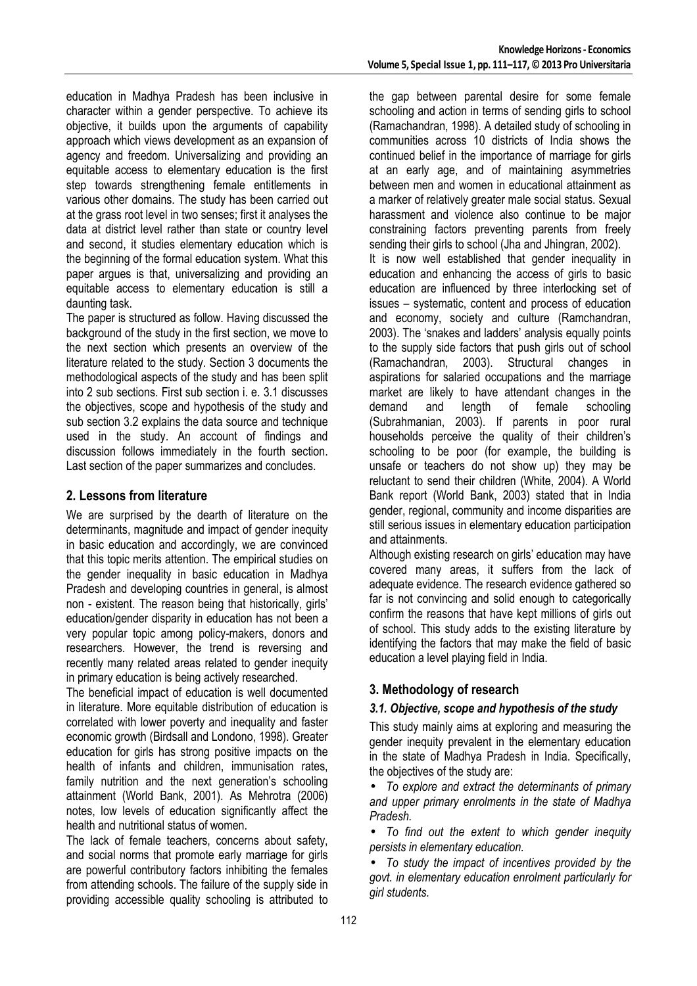education in Madhya Pradesh has been inclusive in character within a gender perspective. To achieve its objective, it builds upon the arguments of capability approach which views development as an expansion of agency and freedom. Universalizing and providing an equitable access to elementary education is the first step towards strengthening female entitlements in various other domains. The study has been carried out at the grass root level in two senses; first it analyses the data at district level rather than state or country level and second, it studies elementary education which is the beginning of the formal education system. What this paper argues is that, universalizing and providing an equitable access to elementary education is still a daunting task.

The paper is structured as follow. Having discussed the background of the study in the first section, we move to the next section which presents an overview of the literature related to the study. Section 3 documents the methodological aspects of the study and has been split into 2 sub sections. First sub section i. e. 3.1 discusses the objectives, scope and hypothesis of the study and sub section 3.2 explains the data source and technique used in the study. An account of findings and discussion follows immediately in the fourth section. Last section of the paper summarizes and concludes.

### **2. Lessons from literature**

We are surprised by the dearth of literature on the determinants, magnitude and impact of gender inequity in basic education and accordingly, we are convinced that this topic merits attention. The empirical studies on the gender inequality in basic education in Madhya Pradesh and developing countries in general, is almost non - existent. The reason being that historically, girls' education/gender disparity in education has not been a very popular topic among policy-makers, donors and researchers. However, the trend is reversing and recently many related areas related to gender inequity in primary education is being actively researched.

The beneficial impact of education is well documented in literature. More equitable distribution of education is correlated with lower poverty and inequality and faster economic growth (Birdsall and Londono, 1998). Greater education for girls has strong positive impacts on the health of infants and children, immunisation rates, family nutrition and the next generation's schooling attainment (World Bank, 2001). As Mehrotra (2006) notes, low levels of education significantly affect the health and nutritional status of women.

The lack of female teachers, concerns about safety, and social norms that promote early marriage for girls are powerful contributory factors inhibiting the females from attending schools. The failure of the supply side in providing accessible quality schooling is attributed to the gap between parental desire for some female schooling and action in terms of sending girls to school (Ramachandran, 1998). A detailed study of schooling in communities across 10 districts of India shows the continued belief in the importance of marriage for girls at an early age, and of maintaining asymmetries between men and women in educational attainment as a marker of relatively greater male social status. Sexual harassment and violence also continue to be major constraining factors preventing parents from freely sending their girls to school (Jha and Jhingran, 2002). It is now well established that gender inequality in education and enhancing the access of girls to basic education are influenced by three interlocking set of issues – systematic, content and process of education and economy, society and culture (Ramchandran, 2003). The 'snakes and ladders' analysis equally points to the supply side factors that push girls out of school (Ramachandran, 2003). Structural changes in aspirations for salaried occupations and the marriage market are likely to have attendant changes in the demand and length of female schooling (Subrahmanian, 2003). If parents in poor rural households perceive the quality of their children's schooling to be poor (for example, the building is unsafe or teachers do not show up) they may be

reluctant to send their children (White, 2004). A World Bank report (World Bank, 2003) stated that in India gender, regional, community and income disparities are still serious issues in elementary education participation and attainments.

Although existing research on girls' education may have covered many areas, it suffers from the lack of adequate evidence. The research evidence gathered so far is not convincing and solid enough to categorically confirm the reasons that have kept millions of girls out of school. This study adds to the existing literature by identifying the factors that may make the field of basic education a level playing field in India.

## **3. Methodology of research**

### *3.1. Objective, scope and hypothesis of the study*

This study mainly aims at exploring and measuring the gender inequity prevalent in the elementary education in the state of Madhya Pradesh in India. Specifically, the objectives of the study are:

• *To explore and extract the determinants of primary and upper primary enrolments in the state of Madhya Pradesh.*

• *To find out the extent to which gender inequity persists in elementary education.*

• *To study the impact of incentives provided by the govt. in elementary education enrolment particularly for girl students.*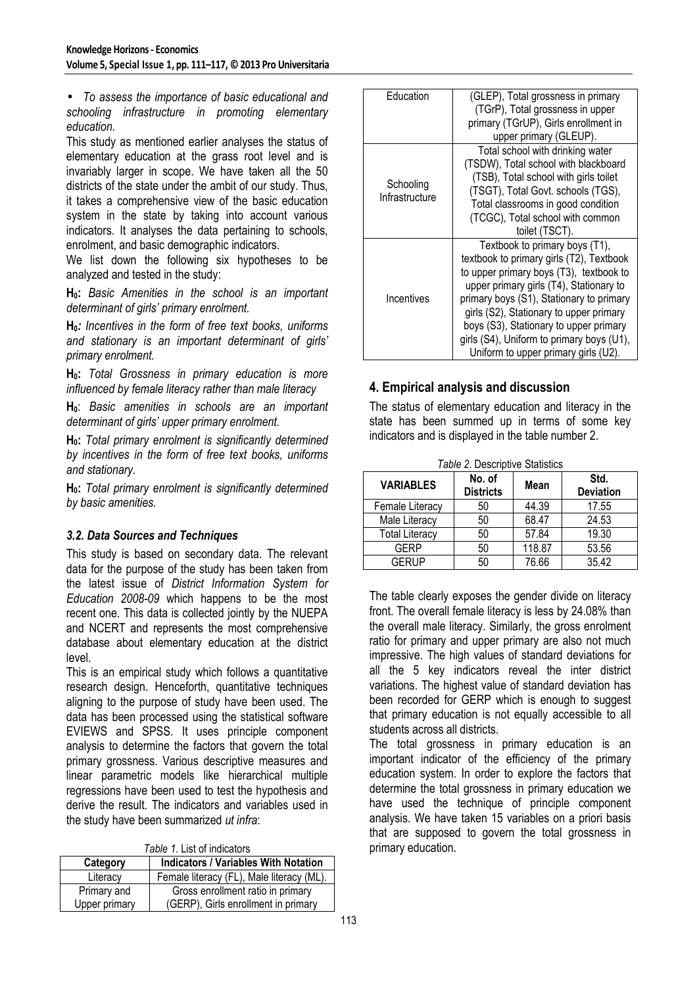• *To assess the importance of basic educational and schooling infrastructure in promoting elementary education.*

This study as mentioned earlier analyses the status of elementary education at the grass root level and is invariably larger in scope. We have taken all the 50 districts of the state under the ambit of our study. Thus, it takes a comprehensive view of the basic education system in the state by taking into account various indicators. It analyses the data pertaining to schools, enrolment, and basic demographic indicators.

We list down the following six hypotheses to be analyzed and tested in the study:

**H0:** *Basic Amenities in the school is an important determinant of girls' primary enrolment.*

**H0***: Incentives in the form of free text books, uniforms and stationary is an important determinant of girls' primary enrolment.*

**H0:** *Total Grossness in primary education is more influenced by female literacy rather than male literacy*

**H0**: *Basic amenities in schools are an important determinant of girls' upper primary enrolment.*

**H0:** *Total primary enrolment is significantly determined by incentives in the form of free text books, uniforms and stationary.*

**H0:** *Total primary enrolment is significantly determined by basic amenities.* 

#### *3.2. Data Sources and Techniques*

This study is based on secondary data. The relevant data for the purpose of the study has been taken from the latest issue of *District Information System for Education 2008-09* which happens to be the most recent one*.* This data is collected jointly by the NUEPA and NCERT and represents the most comprehensive database about elementary education at the district level.

This is an empirical study which follows a quantitative research design. Henceforth, quantitative techniques aligning to the purpose of study have been used. The data has been processed using the statistical software EVIEWS and SPSS. It uses principle component analysis to determine the factors that govern the total primary grossness. Various descriptive measures and linear parametric models like hierarchical multiple regressions have been used to test the hypothesis and derive the result. The indicators and variables used in the study have been summarized *ut infra*:

*Table 1*. List of indicators

| Category      | <b>Indicators / Variables With Notation</b> |
|---------------|---------------------------------------------|
| Literacy      | Female literacy (FL), Male literacy (ML).   |
| Primary and   | Gross enrollment ratio in primary           |
| Upper primary | (GERP), Girls enrollment in primary         |

| Education      | (GLEP), Total grossness in primary                                                                                                                                                                                                                                                                                                                                                                                                                                                                                                                       |
|----------------|----------------------------------------------------------------------------------------------------------------------------------------------------------------------------------------------------------------------------------------------------------------------------------------------------------------------------------------------------------------------------------------------------------------------------------------------------------------------------------------------------------------------------------------------------------|
|                |                                                                                                                                                                                                                                                                                                                                                                                                                                                                                                                                                          |
|                |                                                                                                                                                                                                                                                                                                                                                                                                                                                                                                                                                          |
|                | upper primary (GLEUP).                                                                                                                                                                                                                                                                                                                                                                                                                                                                                                                                   |
|                | Total school with drinking water                                                                                                                                                                                                                                                                                                                                                                                                                                                                                                                         |
|                | (TSDW), Total school with blackboard                                                                                                                                                                                                                                                                                                                                                                                                                                                                                                                     |
|                |                                                                                                                                                                                                                                                                                                                                                                                                                                                                                                                                                          |
| Schooling      | (TGrP), Total grossness in upper<br>primary (TGrUP), Girls enrollment in<br>(TSB), Total school with girls toilet<br>(TSGT), Total Govt. schools (TGS),<br>Total classrooms in good condition<br>(TCGC), Total school with common<br>toilet (TSCT).<br>Textbook to primary boys (T1),<br>textbook to primary girls (T2), Textbook<br>to upper primary boys (T3), textbook to<br>upper primary girls (T4), Stationary to<br>primary boys (S1), Stationary to primary<br>girls (S2), Stationary to upper primary<br>boys (S3), Stationary to upper primary |
| Infrastructure |                                                                                                                                                                                                                                                                                                                                                                                                                                                                                                                                                          |
|                |                                                                                                                                                                                                                                                                                                                                                                                                                                                                                                                                                          |
|                |                                                                                                                                                                                                                                                                                                                                                                                                                                                                                                                                                          |
|                |                                                                                                                                                                                                                                                                                                                                                                                                                                                                                                                                                          |
|                |                                                                                                                                                                                                                                                                                                                                                                                                                                                                                                                                                          |
|                |                                                                                                                                                                                                                                                                                                                                                                                                                                                                                                                                                          |
|                | girls (S4), Uniform to primary boys (U1),<br>Uniform to upper primary girls (U2).                                                                                                                                                                                                                                                                                                                                                                                                                                                                        |
|                |                                                                                                                                                                                                                                                                                                                                                                                                                                                                                                                                                          |
| Incentives     |                                                                                                                                                                                                                                                                                                                                                                                                                                                                                                                                                          |
|                |                                                                                                                                                                                                                                                                                                                                                                                                                                                                                                                                                          |
|                |                                                                                                                                                                                                                                                                                                                                                                                                                                                                                                                                                          |
|                |                                                                                                                                                                                                                                                                                                                                                                                                                                                                                                                                                          |
|                |                                                                                                                                                                                                                                                                                                                                                                                                                                                                                                                                                          |
|                |                                                                                                                                                                                                                                                                                                                                                                                                                                                                                                                                                          |

### **4. Empirical analysis and discussion**

The status of elementary education and literacy in the state has been summed up in terms of some key indicators and is displayed in the table number 2.

| Table 2. Descriptive Statistics |                            |        |                          |  |  |  |  |
|---------------------------------|----------------------------|--------|--------------------------|--|--|--|--|
| <b>VARIABLES</b>                | No. of<br><b>Districts</b> | Mean   | Std.<br><b>Deviation</b> |  |  |  |  |
| Female Literacy                 | 50                         | 44.39  | 17.55                    |  |  |  |  |
| Male Literacy                   | 50                         | 68.47  | 24.53                    |  |  |  |  |
| <b>Total Literacy</b>           | 50                         | 57.84  | 19.30                    |  |  |  |  |
| <b>GERP</b>                     | 50                         | 118.87 | 53.56                    |  |  |  |  |
| GERUP                           | 50                         | 76.66  | 3542                     |  |  |  |  |

The table clearly exposes the gender divide on literacy front. The overall female literacy is less by 24.08% than the overall male literacy. Similarly, the gross enrolment ratio for primary and upper primary are also not much impressive. The high values of standard deviations for all the 5 key indicators reveal the inter district variations. The highest value of standard deviation has been recorded for GERP which is enough to suggest that primary education is not equally accessible to all students across all districts.

The total grossness in primary education is an important indicator of the efficiency of the primary education system. In order to explore the factors that determine the total grossness in primary education we have used the technique of principle component analysis. We have taken 15 variables on a priori basis that are supposed to govern the total grossness in primary education.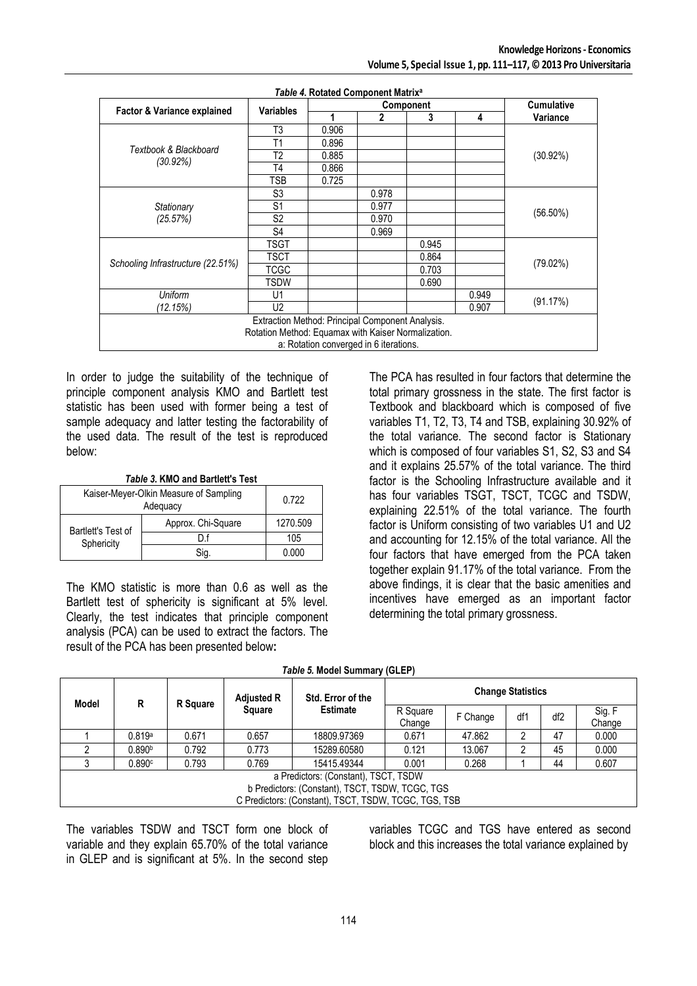| <i>Table 4.</i> Notated Component Matrix-<br>Component<br><b>Cumulative</b> |                                                     |       |       |       |       |             |  |
|-----------------------------------------------------------------------------|-----------------------------------------------------|-------|-------|-------|-------|-------------|--|
| <b>Factor &amp; Variance explained</b>                                      | <b>Variables</b>                                    |       |       |       |       |             |  |
|                                                                             |                                                     |       | 2     | 3     | 4     | Variance    |  |
|                                                                             | T3                                                  | 0.906 |       |       |       |             |  |
| Textbook & Blackboard                                                       | T1                                                  | 0.896 |       |       |       |             |  |
|                                                                             | T <sub>2</sub>                                      | 0.885 |       |       |       | $(30.92\%)$ |  |
| (30.92%)                                                                    | T4                                                  | 0.866 |       |       |       |             |  |
|                                                                             | TSB                                                 | 0.725 |       |       |       |             |  |
|                                                                             | S3                                                  |       | 0.978 |       |       |             |  |
| Stationary                                                                  | S <sub>1</sub>                                      |       | 0.977 |       |       |             |  |
| (25.57%)                                                                    | S <sub>2</sub>                                      |       | 0.970 |       |       | $(56.50\%)$ |  |
|                                                                             | S <sub>4</sub>                                      |       | 0.969 |       |       |             |  |
|                                                                             | TSGT                                                |       |       | 0.945 |       |             |  |
|                                                                             | TSCT                                                |       |       | 0.864 |       |             |  |
| Schooling Infrastructure (22.51%)                                           | TCGC                                                |       |       | 0.703 |       | (79.02%)    |  |
|                                                                             | TSDW                                                |       |       | 0.690 |       |             |  |
| <b>Uniform</b>                                                              | U1                                                  |       |       |       | 0.949 |             |  |
| (12.15%)                                                                    | U <sub>2</sub>                                      |       |       |       | 0.907 | (91.17%)    |  |
| Extraction Method: Principal Component Analysis.                            |                                                     |       |       |       |       |             |  |
|                                                                             | Rotation Method: Equamax with Kaiser Normalization. |       |       |       |       |             |  |
| a: Rotation converged in 6 iterations.                                      |                                                     |       |       |       |       |             |  |

*Table 4***. Rotated Component Matrix<sup>a</sup>**

In order to judge the suitability of the technique of principle component analysis KMO and Bartlett test statistic has been used with former being a test of sample adequacy and latter testing the factorability of the used data. The result of the test is reproduced below:

*Table 3***. KMO and Bartlett's Test**

| Kaiser-Meyer-Olkin Measure of Sampling | 0.722              |          |
|----------------------------------------|--------------------|----------|
| Bartlett's Test of<br>Sphericity       | Approx. Chi-Square | 1270.509 |
|                                        |                    | 105      |
|                                        | Sig.               | 0.000    |

The KMO statistic is more than 0.6 as well as the Bartlett test of sphericity is significant at 5% level. Clearly, the test indicates that principle component analysis (PCA) can be used to extract the factors. The result of the PCA has been presented below**:** 

The PCA has resulted in four factors that determine the total primary grossness in the state. The first factor is Textbook and blackboard which is composed of five variables T1, T2, T3, T4 and TSB, explaining 30.92% of the total variance. The second factor is Stationary which is composed of four variables S1, S2, S3 and S4 and it explains 25.57% of the total variance. The third factor is the Schooling Infrastructure available and it has four variables TSGT, TSCT, TCGC and TSDW, explaining 22.51% of the total variance. The fourth factor is Uniform consisting of two variables U1 and U2 and accounting for 12.15% of the total variance. All the four factors that have emerged from the PCA taken together explain 91.17% of the total variance. From the above findings, it is clear that the basic amenities and incentives have emerged as an important factor determining the total primary grossness.

| Model | R                                               | R Square | <b>Adjusted R</b> | Std. Error of the                                    |                    |          | <b>Change Statistics</b> |     |                  |
|-------|-------------------------------------------------|----------|-------------------|------------------------------------------------------|--------------------|----------|--------------------------|-----|------------------|
|       |                                                 |          | Square            | <b>Estimate</b>                                      | R Square<br>Change | F Change | df1                      | df2 | Sig. F<br>Change |
|       | 0.819a                                          | 0.671    | 0.657             | 18809.97369                                          | 0.671              | 47.862   | 2                        | 47  | 0.000            |
|       | 0.890 <sup>b</sup>                              | 0.792    | 0.773             | 15289.60580                                          | 0.121              | 13.067   | ∩                        | 45  | 0.000            |
|       | 0.890c                                          | 0.793    | 0.769             | 15415.49344                                          | 0.001              | 0.268    |                          | 44  | 0.607            |
|       | a Predictors: (Constant), TSCT, TSDW            |          |                   |                                                      |                    |          |                          |     |                  |
|       | b Predictors: (Constant), TSCT, TSDW, TCGC, TGS |          |                   |                                                      |                    |          |                          |     |                  |
|       |                                                 |          |                   | C Predictors: (Constant), TSCT, TSDW, TCGC, TGS, TSB |                    |          |                          |     |                  |

The variables TSDW and TSCT form one block of variable and they explain 65.70% of the total variance in GLEP and is significant at 5%. In the second step variables TCGC and TGS have entered as second block and this increases the total variance explained by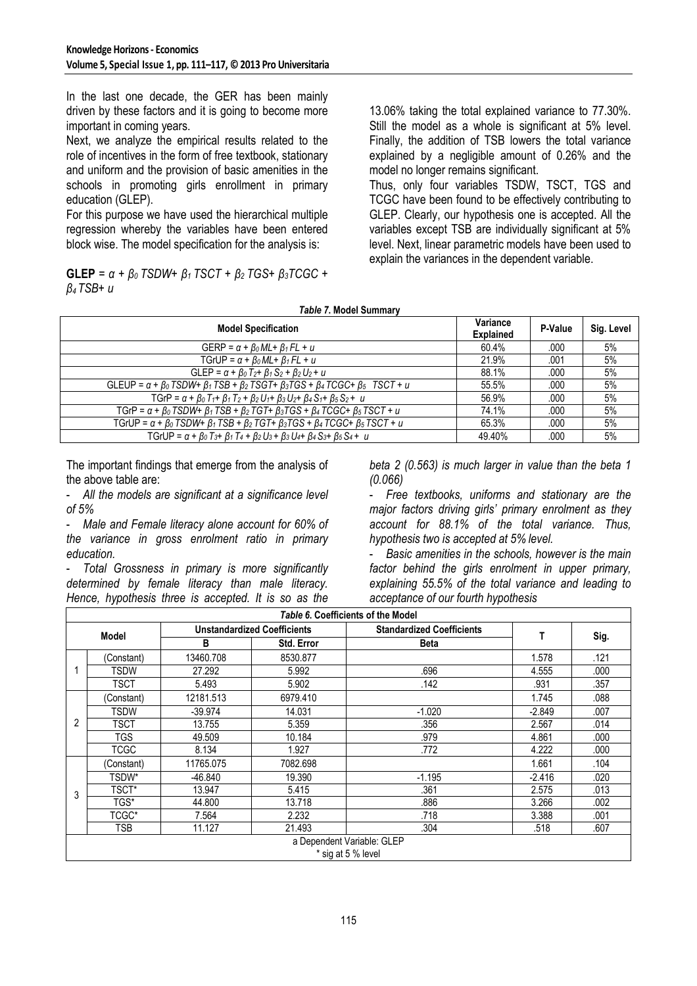In the last one decade, the GER has been mainly driven by these factors and it is going to become more important in coming years.

Next, we analyze the empirical results related to the role of incentives in the form of free textbook, stationary and uniform and the provision of basic amenities in the schools in promoting girls enrollment in primary education (GLEP).

For this purpose we have used the hierarchical multiple regression whereby the variables have been entered block wise. The model specification for the analysis is:

**GLEP** = *α + β0 TSDW+ β1 TSCT + β2 TGS+ β3TCGC + β4 TSB+ u* 

13.06% taking the total explained variance to 77.30%. Still the model as a whole is significant at 5% level. Finally, the addition of TSB lowers the total variance explained by a negligible amount of 0.26% and the model no longer remains significant.

Thus, only four variables TSDW, TSCT, TGS and TCGC have been found to be effectively contributing to GLEP. Clearly, our hypothesis one is accepted. All the variables except TSB are individually significant at 5% level. Next, linear parametric models have been used to explain the variances in the dependent variable.

|  | Table 7. Model Summary |  |
|--|------------------------|--|
|  |                        |  |

| <b>Model Specification</b>                                                                                                                                                                                                                               | Variance<br><b>Explained</b> | P-Value | Sig. Level |
|----------------------------------------------------------------------------------------------------------------------------------------------------------------------------------------------------------------------------------------------------------|------------------------------|---------|------------|
| GERP = $\alpha$ + $\beta_0$ ML+ $\beta_1$ FL + u                                                                                                                                                                                                         | 60.4%                        | .000    | 5%         |
| $TGrUP = \alpha + \beta_0 ML + \beta_1 FL + u$                                                                                                                                                                                                           | 21.9%                        | .001    | 5%         |
| GLEP = $\alpha$ + $\beta$ <sub>0</sub> T <sub>2</sub> + $\beta$ <sub>1</sub> S <sub>2</sub> + $\beta$ <sub>2</sub> U <sub>2</sub> + u                                                                                                                    | 88.1%                        | .000    | 5%         |
| GLEUP = $\alpha$ + $\beta_0$ TSDW+ $\beta_1$ TSB + $\beta_2$ TSGT+ $\beta_3$ TGS + $\beta_4$ TCGC+ $\beta_5$ TSCT + u                                                                                                                                    | 55.5%                        | .000    | 5%         |
| TGrP = $\alpha$ + $\beta_0 T_1$ + $\beta_1 T_2$ + $\beta_2 U_1$ + $\beta_3 U_2$ + $\beta_4 \overline{S_1}$ + $\beta_5 S_2$ + $\mu$                                                                                                                       | 56.9%                        | .000    | 5%         |
| TGrP = $\alpha$ + $\beta_0$ TSDW+ $\beta_1$ TSB + $\beta_2$ TGT+ $\beta_3$ TGS + $\beta_4$ TCGC+ $\beta_5$ TSCT + u                                                                                                                                      | 74.1%                        | .000    | 5%         |
| TGrUP = $\alpha$ + $\beta_0$ TSDW+ $\beta_1$ TSB + $\beta_2$ TGT+ $\beta_3$ TGS + $\beta_4$ TCGC+ $\beta_5$ TSCT + u                                                                                                                                     | 65.3%                        | .000    | 5%         |
| TGrUP = $\alpha$ + $\beta$ <sub>0</sub> T <sub>3</sub> + $\beta$ <sub>1</sub> T <sub>4</sub> + $\beta$ <sub>2</sub> U <sub>3</sub> + $\beta$ <sub>3</sub> U <sub>4</sub> + $\beta$ <sub>4</sub> S <sub>3</sub> + $\beta$ <sub>5</sub> S <sub>4</sub> + u | 49.40%                       | .000    | 5%         |

The important findings that emerge from the analysis of the above table are:

- *All the models are significant at a significance level of 5%*

- *Male and Female literacy alone account for 60% of the variance in gross enrolment ratio in primary education.* 

- *Total Grossness in primary is more significantly determined by female literacy than male literacy. Hence, hypothesis three is accepted. It is so as the* 

*beta 2 (0.563) is much larger in value than the beta 1 (0.066)*

- *Free textbooks, uniforms and stationary are the major factors driving girls' primary enrolment as they account for 88.1% of the total variance. Thus, hypothesis two is accepted at 5% level.*

- *Basic amenities in the schools, however is the main factor behind the girls enrolment in upper primary, explaining 55.5% of the total variance and leading to acceptance of our fourth hypothesis*

|   | Table 6. Coefficients of the Model |           |                                    |                                  |          |      |  |  |  |  |
|---|------------------------------------|-----------|------------------------------------|----------------------------------|----------|------|--|--|--|--|
|   | <b>Model</b>                       |           | <b>Unstandardized Coefficients</b> | <b>Standardized Coefficients</b> | т        |      |  |  |  |  |
|   |                                    | в         | Std. Error                         | <b>Beta</b>                      |          | Sig. |  |  |  |  |
|   | (Constant)                         | 13460.708 | 8530.877                           |                                  | 1.578    | .121 |  |  |  |  |
|   | <b>TSDW</b>                        | 27.292    | 5.992                              | .696                             | 4.555    | .000 |  |  |  |  |
|   | TSCT                               | 5.493     | 5.902                              | .142                             | .931     | .357 |  |  |  |  |
|   | (Constant)                         | 12181.513 | 6979.410                           |                                  | 1.745    | .088 |  |  |  |  |
| 2 | <b>TSDW</b>                        | $-39.974$ | 14.031                             | $-1.020$                         | $-2.849$ | .007 |  |  |  |  |
|   | TSCT                               | 13.755    | 5.359                              | .356                             | 2.567    | .014 |  |  |  |  |
|   | <b>TGS</b>                         | 49.509    | 10.184                             | .979                             | 4.861    | .000 |  |  |  |  |
| 3 | TCGC                               | 8.134     | 1.927                              | .772                             | 4.222    | .000 |  |  |  |  |
|   | (Constant)                         | 11765.075 | 7082.698                           |                                  | 1.661    | .104 |  |  |  |  |
|   | TSDW*                              | $-46.840$ | 19.390                             | $-1.195$                         | $-2.416$ | .020 |  |  |  |  |
|   | TSCT*                              | 13.947    | 5.415                              | .361                             | 2.575    | .013 |  |  |  |  |
|   | TGS*                               | 44.800    | 13.718                             | .886                             | 3.266    | .002 |  |  |  |  |
|   | TCGC*                              | 7.564     | 2.232                              | .718                             | 3.388    | .001 |  |  |  |  |
|   | <b>TSB</b>                         | 11.127    | 21.493                             | .304                             | .518     | .607 |  |  |  |  |
|   |                                    |           |                                    | a Dependent Variable: GLEP       |          |      |  |  |  |  |
|   |                                    |           |                                    | * sig at 5 % level               |          |      |  |  |  |  |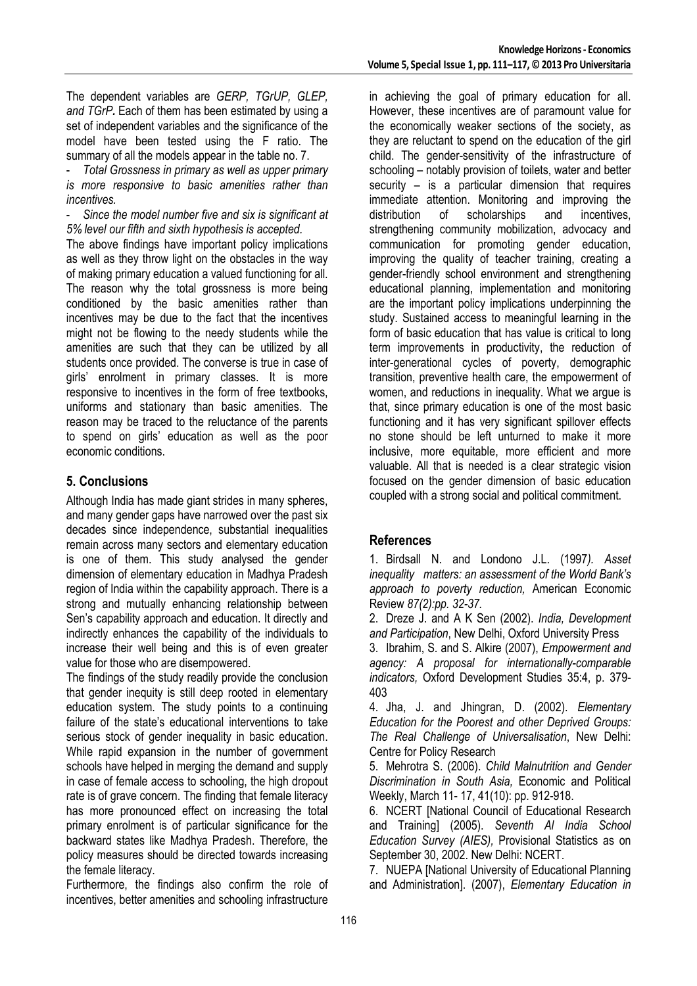The dependent variables are *GERP, TGrUP, GLEP, and TGrP.* Each of them has been estimated by using a set of independent variables and the significance of the model have been tested using the F ratio. The summary of all the models appear in the table no. 7.

- *Total Grossness in primary as well as upper primary is more responsive to basic amenities rather than incentives.* 

- *Since the model number five and six is significant at 5% level our fifth and sixth hypothesis is accepted.* 

The above findings have important policy implications as well as they throw light on the obstacles in the way of making primary education a valued functioning for all. The reason why the total grossness is more being conditioned by the basic amenities rather than incentives may be due to the fact that the incentives might not be flowing to the needy students while the amenities are such that they can be utilized by all students once provided. The converse is true in case of girls' enrolment in primary classes. It is more responsive to incentives in the form of free textbooks, uniforms and stationary than basic amenities. The reason may be traced to the reluctance of the parents to spend on girls' education as well as the poor economic conditions.

## **5. Conclusions**

Although India has made giant strides in many spheres, and many gender gaps have narrowed over the past six decades since independence, substantial inequalities remain across many sectors and elementary education is one of them. This study analysed the gender dimension of elementary education in Madhya Pradesh region of India within the capability approach. There is a strong and mutually enhancing relationship between Sen's capability approach and education. It directly and indirectly enhances the capability of the individuals to increase their well being and this is of even greater value for those who are disempowered.

The findings of the study readily provide the conclusion that gender inequity is still deep rooted in elementary education system. The study points to a continuing failure of the state's educational interventions to take serious stock of gender inequality in basic education. While rapid expansion in the number of government schools have helped in merging the demand and supply in case of female access to schooling, the high dropout rate is of grave concern. The finding that female literacy has more pronounced effect on increasing the total primary enrolment is of particular significance for the backward states like Madhya Pradesh. Therefore, the policy measures should be directed towards increasing the female literacy.

Furthermore, the findings also confirm the role of incentives, better amenities and schooling infrastructure in achieving the goal of primary education for all. However, these incentives are of paramount value for the economically weaker sections of the society, as they are reluctant to spend on the education of the girl child. The gender-sensitivity of the infrastructure of schooling – notably provision of toilets, water and better security – is a particular dimension that requires immediate attention. Monitoring and improving the distribution of scholarships and incentives, strengthening community mobilization, advocacy and communication for promoting gender education, improving the quality of teacher training, creating a gender-friendly school environment and strengthening educational planning, implementation and monitoring are the important policy implications underpinning the study. Sustained access to meaningful learning in the form of basic education that has value is critical to long term improvements in productivity, the reduction of inter-generational cycles of poverty, demographic transition, preventive health care, the empowerment of women, and reductions in inequality. What we arque is that, since primary education is one of the most basic functioning and it has very significant spillover effects no stone should be left unturned to make it more inclusive, more equitable, more efficient and more valuable. All that is needed is a clear strategic vision focused on the gender dimension of basic education coupled with a strong social and political commitment.

### **References**

1. Birdsall N. and Londono J.L. (1997*). Asset inequality matters: an assessment of the World Bank's approach to poverty reduction,* American Economic Review *87(2):pp. 32-37.*

2. Dreze J. and A K Sen (2002). *India, Development and Participation*, New Delhi, Oxford University Press

3. Ibrahim, S. and S. Alkire (2007), *Empowerment and agency: A proposal for internationally-comparable indicators,* Oxford Development Studies 35:4, p. 379- 403

4. Jha, J. and Jhingran, D. (2002). *Elementary Education for the Poorest and other Deprived Groups: The Real Challenge of Universalisation*, New Delhi: Centre for Policy Research

5. Mehrotra S. (2006). *Child Malnutrition and Gender Discrimination in South Asia,* Economic and Political Weekly, March 11- 17, 41(10): pp. 912-918.

6. NCERT [National Council of Educational Research and Training] (2005). *Seventh Al India School Education Survey (AIES),* Provisional Statistics as on September 30, 2002. New Delhi: NCERT.

7. NUEPA [National University of Educational Planning and Administration]. (2007), *Elementary Education in*